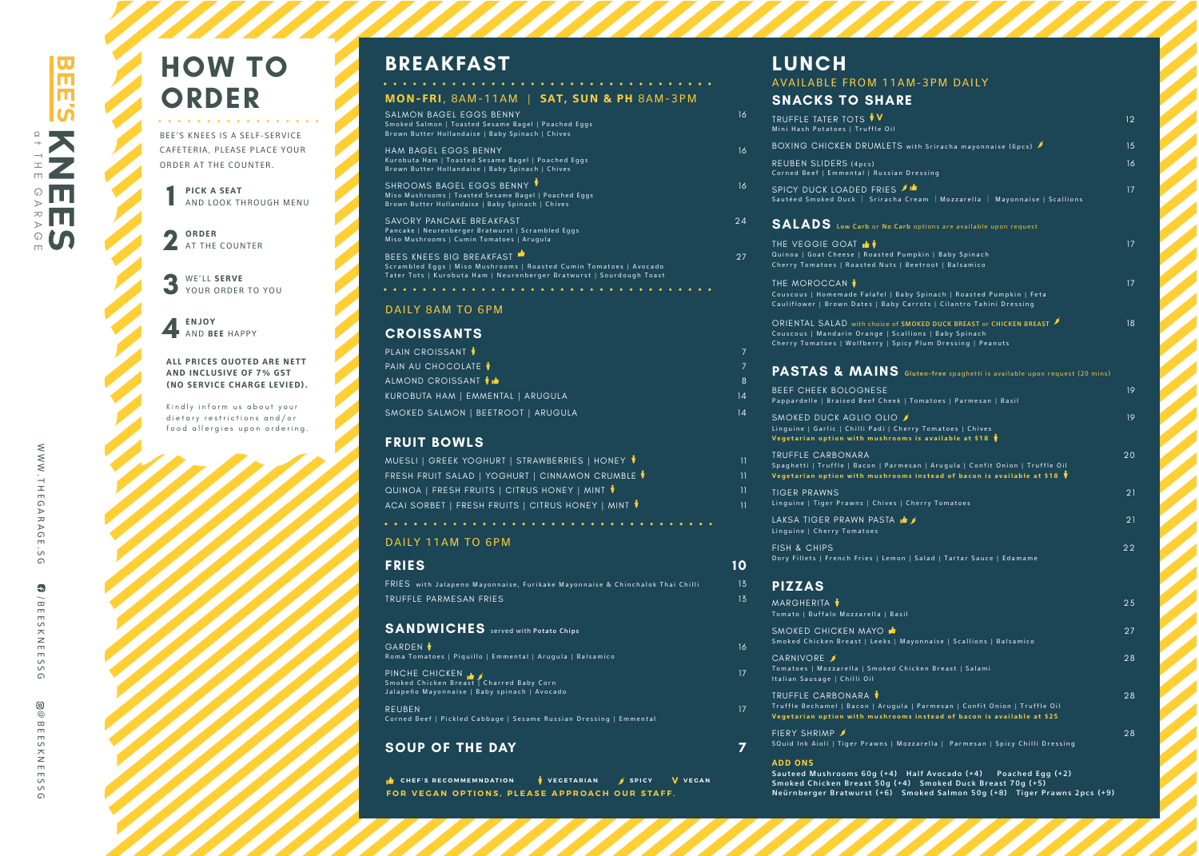WWW.TH

E G A R A

GE.SG /

 $\bullet$ 

 $\frac{1}{2}$  $\Omega$ 

B E E S S S G<br>P E S S S G

ESS  $\Omega$  **P I CK A S E A T** AND LOOK THROUGH MENU

@ B

 $\odot$ 

EESKN E

**ORDE R** AT THE COUNTER

WE 'LL **S E R V E** YOUR ORDER TO YOU

**1234**BEE'S KN EES IS A S ELF-SER V ICE CAFETERIA, PLEASE PLACE YOUR ORDER AT THE COUNTER.

**E N J O Y** A N D **B E E** H A P P Y

Kindly inform u s about you r dietary restrictions and/or food allergies upon ordering.



# **BREAKFAST**

SALMON B AGEL EGGS BENNY Smoked Salmon | Toasted Sesame Bagel | Poached Eggs Brown Butter Hollandaise | Baby Spinach | Chives

# **HO W TO O RDE R**

HAM B AGEL EGGS BENN Y Kurobuta Ham | Toasted Sesame Bagel | Poached Eggs Brown Butter Hollandaise | Baby Spinach | Chives

**A L L PR ICES QUO TED A R E NE T T AND INC LUSI VE O F 7% GST (NO SE R VIC E CHARGE LEVIED) .** S HROOMS B AGEL EGGS BENNY Miso Mushrooms | Toasted Sesame Bagel | Poached Eggs Brown Butter Hollandaise | Baby Spinach | Chives

SAVORY PANCAKE BREAKFAST Pancake | Neurenberger Bratwurst | Scrambled Eggs Miso Mushrooms | Cumin Tomatoes | Arugula

BEES KNEES BIG BREAKFAST ' Scrambled Eggs | Miso Mushrooms | Roasted Cumin Tomatoes | Avocado Tater Tots | Kurobuta Ham | Neurenberger Bratwurst | Sourdough Toast

#### DAILY 8AM TO 6PM

#### **MO N -FR I**, 8 A M -11 AM | **SAT, SUN & P H** 8 A M - 3 P M

1 6

1 6

PLAIN CROISSANT  $\frac{1}{2}$ PAIN A U C HOCOL ATE ALMON D CROISSANT KUROBUTA HAM | EMMENTAL | ARUGULA SMO KED SALMON | BEETROOT | ARUGUL A

M UESLI | GREEK YOG HURT | STR AWBERRIES | HONEY FRES H F R UIT SALAD | YOGH URT | CINNAMON CRUMBLE QUINOA | FRESH FRUITS | CITRUS HONEY | MINT ACAI SORBET | FRESH FRUITS | CITRUS HONEY | MINT

1 6

FRIES with Jalapeno Mayonnaise, Furikake Mayonnaise & Chinchalok Thai Chilli TRU FFLE PARMESAN FRIES 1

GAR DEN Roma Tomatoes | Piquillo | Emmental | Arugula | Balsamico

PINCHE CHICKEN Smoked Chicken Breast | Charred Baby Corn Jalapeño Mayonnaise | Baby spinach | Avocado 2 4

REUBEN Corned Beef | Pickled Cabbage | Sesame Russian Dressing | Emmental

# A V AILA BLE F ROM 11AM-3 PM D AIL Y  $L$ **UNCH**

TRU FFLE TATER TOTS Mini Hash Potatoes | Truffle Oi

2 7

RE UBEN SLIDER S (4 p c s Corned Beef | Emmental | Russi

SPI C Y DUC K L OADE D FRIES Sautéed Smoked Duck | Sriracha

#### **CROISS ANT S**

BEEF CHEE K BO LOGNESE Pappardelle | Braised Beef C

7

8

1 4

1 4

SMOKED DUCK AGLIO OLIO *≸* Andrew Constanting Co Linguine | Garlic | Chilli Padi | C **Veget a r i an o p tio n w ith mu s h r o o**

#### **FRUIT B O W L S**

FISH & CHIPS Dory Fillets | French Fries | Lemon | Sala

1 1

#### **FRIES**

**1 0**

T HE VEGGIE G O A T Quinoa | Goat Cheese | Roast Cherry Tomatoes | Roasted Nuts

1 3

3

T HE MOROC CAN Couscous | Homemade Falafel

Cauliflower | Brown Dates | Ba ORIENTAL SALAD with choi Couscous | Mandarin Orange

Cherry Tomatoes | Wolfberry

#### **S A NDW I CHE S** served with Pot ato Chip s

1 6

1 7

MARGHERI T Tomato | Buffalo Mozzarella | Ba

SMOKE D CHICKEN M AYO Smoked Chicken Breast | Leek

1 7

CARNI VORE Tomatoes | Mozzarella | Smoked Italian Sausage | Chilli Oil

#### **SOUP O F THE D AY**

FOR VEGAN OPTIONS, PLEASE APPROACH OUR STAFF.  $\blacksquare$  **SPICY V** VEGAN **7**

# **SN ACKS TO SHA R E**

B OXING C HIC KEN DRUMLETS

1 1 1 1 1 1 TRU FFLE CARBONARA Spaghetti | Truffle | Bacon | **Veget a r i an o p tio n w ith mu s h r o o** TIGER PR AWNS

Linguine | Tiger Prawns | Chives

Sauteed Mushrooms 60g (+4 ) H a lf A voc ado (+ 4) Poa ched Egg (+ 2) Smoked Chicken Breast 50g (+4) Smoked Duck Breast 70g (+5) Neürnberger Bratwurst (+6) Smoked Salmon 50g (+8) Tiger Prawns 2pcs (+9)

LAKSA TIGER PRAWN PAS Linguine | Cherry Tomatoes

#### **PAS T A S & MAIN**

#### **SA LADS** L ow Ca r b or No Carb op

| $\mathsf{TER\;TOTS}$ $\mathsf{\mathsf{\#}}\mathsf{V}$<br>atoes   Truffle Oil                                                                                                | 12 |
|-----------------------------------------------------------------------------------------------------------------------------------------------------------------------------|----|
| ICKEN DRUMLETS with Sriracha mayonnaise (6pcs) $\blacktriangleright$                                                                                                        | 15 |
| DERS (4pcs)<br>Emmental   Russian Dressing                                                                                                                                  | 16 |
| <b>LOADED FRIES ALL</b><br>ed Duck   Sriracha Cream   Mozzarella   Mayonnaise   Scallions                                                                                   | 17 |
| $\overline{\mathbf{S}}$ Low Carb or No Carb options are available upon request                                                                                              |    |
| $\equiv$ goat $\blacktriangleright$<br>Cheese   Roasted Pumpkin   Baby Spinach<br>oes   Roasted Nuts   Beetroot   Balsamico                                                 | 17 |
| CAN †<br>omemade Falafel   Baby Spinach   Roasted Pumpkin   Feta<br>Brown Dates   Baby Carrots   Cilantro Tahini Dressing                                                   | 17 |
| ALAD with choice of SMOKED DUCK BREAST or CHICKEN BREAST<br>andarin Orange   Scallions   Baby Spinach<br>oes   Wolfberry   Spicy Plum Dressing   Peanuts                    | 18 |
| $\frac{1}{2}$ <b>MAINS</b> Gluten-free spaghetti is available upon request (20 mins)                                                                                        |    |
| <b>K BOLOGNESE</b><br>Braised Beef Cheek   Tomatoes   Parmesan   Basil                                                                                                      | 19 |
| <b>JCK AGLIO OLIO</b><br>rlic   Chilli Padi   Cherry Tomatoes   Chives<br>ption with mushrooms is available at \$18 ♥                                                       | 19 |
| RBONARA)<br>uffle   Bacon   Parmesan   Arugula   Confit Onion   Truffle Oil <sup>.</sup><br>ption with mushrooms instead of bacon is available at \$18 $\rlap{/}{\ddagger}$ | 20 |
| /NS<br>er Prawns   Chives   Cherry Tomatoes                                                                                                                                 | 21 |
| R PRAWN PASTA LA<br>erry Tomatoes                                                                                                                                           | 21 |
| ΡŚ<br>French Fries   Lemon   Salad   Tartar Sauce   Edamame                                                                                                                 | 22 |
| A ŧ<br>alo Mozzarella   Basil                                                                                                                                               | 25 |
| HICKEN MAYO ∎<br>en Breast   Leeks   Mayonnaise   Scallions   Balsamico                                                                                                     | 27 |
| ozzarella   Smoked Chicken Breast   Salami<br>1e   Chilli Oil                                                                                                               | 28 |
| RBONARA <sup>.</sup><br>mel   Bacon   Arugula   Parmesan   Confit Onion   Truffle Oil<br>ption with mushrooms instead of bacon is available at \$25                         | 28 |
| VP ∖<br>li   Tiger Prawns   Mozzarella    Parmesan   Spicy Chilli Dressing                                                                                                  | 28 |
| shrooms 60g (+4) Half Avocado (+4) Poached Egg (+2)                                                                                                                         |    |

#### **PI ZZA S**

TRU FFLE CARBONARA Truffle Bechamel | Bacon | A **Vege t a r i an opti o n w ith mu s hro**

FIERY SHRIMP SQuid Ink Aioli | Tiger Prawns | Mozzare

#### **ADD ON S**

DAILY 11AM TO 6P M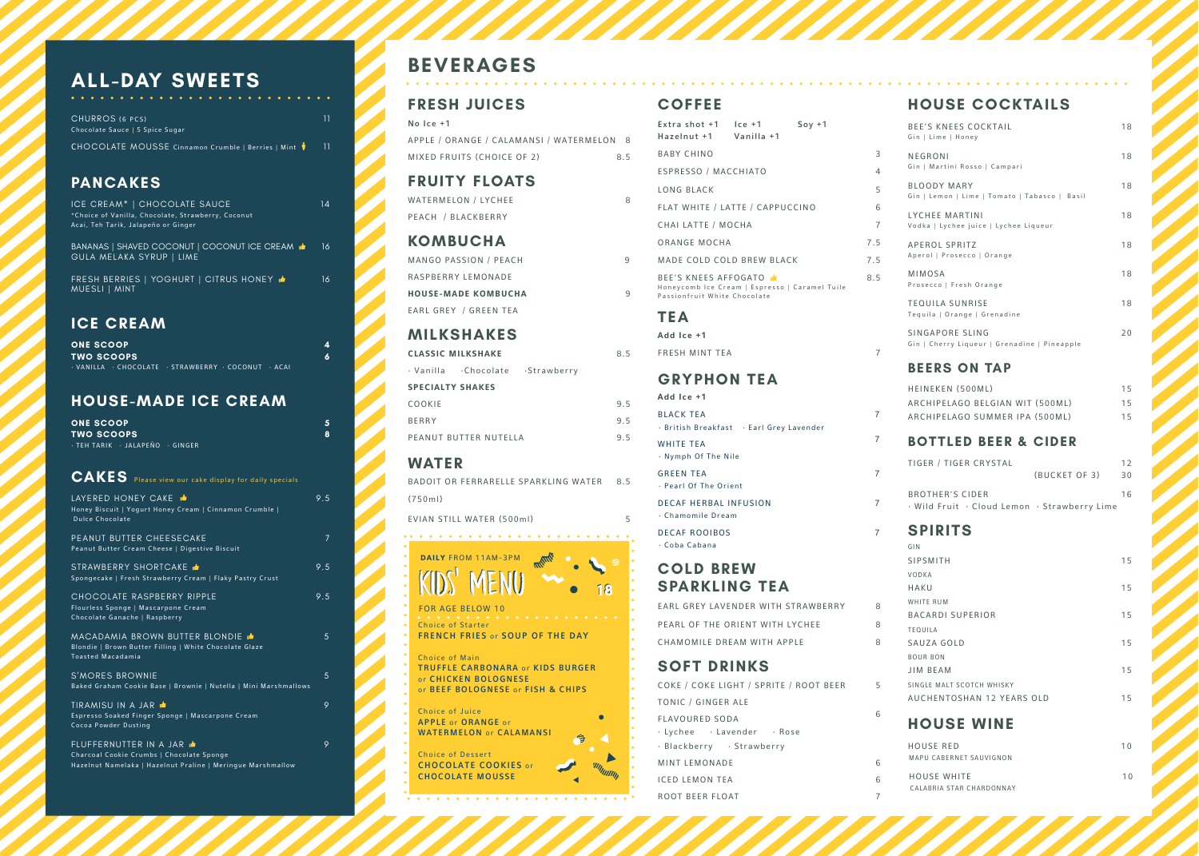Choice of Starter FRENCH FRIES or SOUP OF THE DAY

Choice of Main TRUFFLE CARBONARA or KIDS BURGER or CHICKEN BOLOGNESE or BEEF BOLOGNESE or FISH & CHIPS

APPLE / ORANGE / CALAMANSI / WATERMELON 8 MIXED FRUITS (CHOICE OF 2) 8.5

Choice of Juice APPLE or ORANGE or WATERMELON or CALAMANSI

Choice of Dessert

WATERMELON / LYCHEE 8 PEACH / BLACKBERRY



. . . . . . . . . . . . . . . . . . .

 $\bullet$ 

MANGO PASSION / PFACH 9 RASPBERRY LEMONADE **HOUSE-MADE KOMBUCHA** 9 EARL GREY / GREEN TEA



# **BEVERAGES**

# **FRESH JUICES**

 $\bullet$ 

No Ice +1

#### **FRUITY FLOATS**

#### **KOMBUCHA**

### **MILKSHAKES**

**CLASSIC MILKSHAKE** 8.5

|                         | · Vanilla · Chocolate · Strawberry |     |
|-------------------------|------------------------------------|-----|
| <b>SPECIALTY SHAKES</b> |                                    |     |
| COOKIE                  |                                    | 95  |
| <b>BERRY</b>            |                                    | 9.5 |
|                         | PEANUT BUTTER NUTELLA              | 95  |

#### **WATER**

(750ml)

BADOIT OR FERRARELLE SPARKLING WATER 8.5

EVIAN STILL WATER (500ml) 5

# **COFFEE**

#### **COLD BREW SPARKLING TEA**

CHURROS (6 PCS) 2001 11 Chocolate Sauce | 5 Spice Sugar

CHOCOLATE MOUSSE Cinnamon Crumble | Berries | Mint  $\frac{1}{3}$  11

| EARL GREY LAVENDER WITH STRAWBERRY | 8 |
|------------------------------------|---|
| PEARL OF THE ORIENT WITH LYCHEE    | 8 |
| CHAMOMILE DREAM WITH APPLE         | 8 |
|                                    |   |

ICE CREAM<sup>\*</sup> | CHOCOLATE SAUCE 14 \*Choice of Vanilla, Chocolate, Strawberry, Coconut Acai, Teh Tarik, Jalapeño or Ginger

## **SOFT DRINKS**

FRESH BERRIES | YOGHURT | CITRUS HONEY  $\triangle$  16 MUESLI | MINT

| COKE / COKE LIGHT / SPRITE / ROOT BEER | 5 |
|----------------------------------------|---|
| TONIC / GINGER ALE                     |   |
| FLAVOURED SODA                         | 6 |
| · Lychee · Lavender · Rose             |   |
| · Blackberry · Strawberry              |   |
| MINT LEMONADE                          | 6 |
| ICED LEMON TEA                         | 6 |
| ROOT BEER FLOAT                        | 7 |

#### **HOUSE COCKTAILS**

| <b>BEE'S KNEES COCKTAIL</b><br>Gin   Lime   Honey                   | 18 |
|---------------------------------------------------------------------|----|
| NEGRONI<br>Gin   Martini Rosso   Campari                            | 18 |
| <b>BLOODY MARY</b><br>Gin   Lemon   Lime   Tomato   Tabasco   Basil | 18 |
| LYCHEE MARTINI<br>Vodka   Lychee juice   Lychee Liqueur             | 18 |
| <b>APEROL SPRITZ</b><br>Aperol   Prosecco   Orange                  | 18 |
| <b>MIMOSA</b><br>Prosecco   Fresh Orange                            | 18 |
| TEQUILA SUNRISE<br>Tequila   Orange   Grenadine                     | 18 |
| SINGAPORE SLING<br>Gin   Cherry Liqueur   Grenadine   Pineapple     | 20 |

#### **BEERS ON TAP**

| HEINEKEN (500ML)                |  | 15 |
|---------------------------------|--|----|
| ARCHIPELAGO BELGIAN WIT (500ML) |  | 15 |
| ARCHIPELAGO SUMMER IPA (500ML)  |  | 15 |

#### **BOTTLED BEER & CIDER**

| TIGER / TIGER CRYSTAL                        |               | 12 |
|----------------------------------------------|---------------|----|
|                                              | (BUCKET OF 3) | 30 |
| <b>BROTHER'S CIDER</b>                       |               | 16 |
| · Wild Fruit · Cloud Lemon · Strawberry Lime |               |    |

#### **SPIRITS**

| - - -                                                                                                           |                |
|-----------------------------------------------------------------------------------------------------------------|----------------|
| Extra shot +1<br>$ ce + 1$<br>$Sov + 1$<br>Hazelnut +1<br>Vanilla +1                                            |                |
| <b>BABY CHINO</b>                                                                                               | 3              |
| ESPRESSO / MACCHIATO                                                                                            | $\overline{4}$ |
| LONG BLACK                                                                                                      | 5              |
| FLAT WHITE / LATTE / CAPPUCCINO                                                                                 | 6              |
| CHAI LATTE / MOCHA                                                                                              | 7              |
| ORANGE MOCHA                                                                                                    | 7.5            |
| MADE COLD COLD BREW BLACK                                                                                       | 7.5            |
| BEE'S KNEES AFFOGATO <b>.</b><br>Honeycomb Ice Cream   Espresso   Caramel Tuile<br>Passionfruit White Chocolate | 8.5            |
| TEA                                                                                                             |                |
| Add Ice +1                                                                                                      |                |
| <b>FRESH MINT TEA</b>                                                                                           | $\overline{7}$ |
| <b>GRYPHON TEA</b>                                                                                              |                |
| Add Ice +1                                                                                                      |                |
| BLACK TEA                                                                                                       | 7              |
| · British Breakfast · Earl Grey Lavender                                                                        | 7              |
| WHITE TEA<br>· Nymph Of The Nile                                                                                |                |
| <b>GREEN TEA</b><br>· Pearl Of The Orient                                                                       | 7              |
| DECAF HERBAL INFUSION<br>· Chamomile Dream                                                                      | 7              |
| <b>DECAF ROOIBOS</b><br>· Coba Cabana                                                                           | 7              |
|                                                                                                                 |                |

| GIN                       |    |
|---------------------------|----|
| SIPSMITH                  | 15 |
| VODKA                     |    |
| HAKU                      | 15 |
| WHITE RUM                 |    |
| <b>BACARDI SUPERIOR</b>   | 15 |
| TEQUILA                   |    |
| SAUZA GOLD                | 15 |
| <b>BOUR BON</b>           |    |
| JIM BEAM                  | 15 |
| SINGLE MALT SCOTCH WHISKY |    |
| AUCHENTOSHAN 12 YEARS OLD | 15 |
|                           |    |

# **PANCAKES**

BANANAS | SHAVED COCONUT | COCONUT ICE CREAM 16 GULA MELAKA SYRUP | LIME

#### **ICE CREAM**

| <b>ONE SCOOP</b>  |                                                                                   |
|-------------------|-----------------------------------------------------------------------------------|
| <b>TWO SCOOPS</b> |                                                                                   |
|                   | $\cdot$ VANILLA $\cdot$ CHOCOLATE $\cdot$ STRAWBERRY $\cdot$ COCONUT $\cdot$ ACAI |

#### **HOUSE-MADE ICE CREAM**

| <b>ONE SCOOP</b>              |  |
|-------------------------------|--|
| <b>TWO SCOOPS</b>             |  |
| FEH TARIK · JALAPEÑO · GINGER |  |

| <b>CAKES</b> Please view our cake display for daily specials                                                                                |     |
|---------------------------------------------------------------------------------------------------------------------------------------------|-----|
| LAYERED HONEY CAKE<br>Honey Biscuit   Yogurt Honey Cream   Cinnamon Crumble  <br>Dulce Chocolate                                            | 9.5 |
| PEANUT BUTTER CHEESECAKE<br>Peanut Butter Cream Cheese   Digestive Biscuit                                                                  | 7   |
| STRAWBERRY SHORTCAKE<br>Spongecake   Fresh Strawberry Cream   Flaky Pastry Crust                                                            | 9.5 |
| CHOCOLATE RASPBERRY RIPPLE<br>Flourless Sponge   Mascarpone Cream<br>Chocolate Ganache   Raspberry                                          | 9.5 |
| MACADAMIA BROWN BUTTER BLONDIE i <del>≜</del><br>Blondie   Brown Butter Filling   White Chocolate Glaze<br><b>Toasted Macadamia</b>         | 5   |
| S'MORES BROWNIE<br>Baked Graham Cookie Base   Brownie   Nutella   Mini Marshmallows                                                         | 5   |
| TIRAMISU IN A JAR LE<br>Espresso Soaked Finger Sponge   Mascarpone Cream<br>Cocoa Powder Dusting                                            | 9   |
| FLUFFERNUTTER IN A JAR <b>E</b><br>Charcoal Cookie Crumbs   Chocolate Sponge<br>Hazelnut Namelaka   Hazelnut Praline   Meringue Marshmallow | 9   |

# **ALL-DAY SWEETS**

#### **HOUSE WINE**

| HOUSE RED<br>MAPU CABERNET SAUVIGNON | 1 O |
|--------------------------------------|-----|
| HOUSE WHITE                          | 1 N |
| CALABRIA STAR CHARDONNAY             |     |